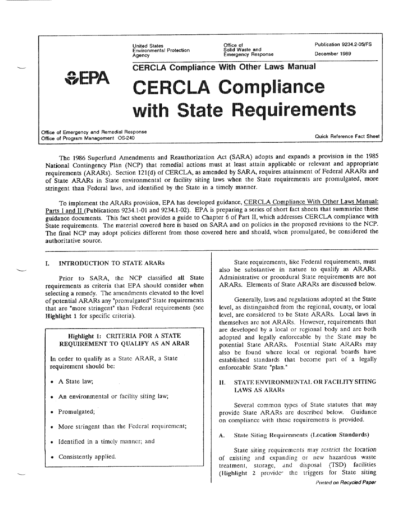**United States** Environmental Protection Agency

Office of<br>Solid Waste and Emergency Response Publication 9234.2-05/FS

December 1989

CERCLA Compliance With Other Laws Manual **CERCLA Compliance** with State Requirements Office of Emergency and Remedial Response **Ouick Reference Fact Sheet** Office of Program Management OS-240

The 1986 Superfund Amendments and Reauthorization Act (SARA) adopts and expands a provision in the 1985 National Contingency Plan (NCP) that remedial actions must at least attain applicable or relevant and appropriate requirements (ARARs). Section 121(d) of CERCLA, as amended by SARA, requires attainment of Federal ARARs and of State ARARs in State environmental or facility siting laws when the State requirements are promulgated, more stringent than Federal laws, and identified by the State in a timely manner.

To implement the ARARs provision, EPA has developed guidance, CERCLA Compliance With Other Laws Manual: Parts I and II (Publications 9234.1-01 and 9234.1-02). EPA is preparing a series of short fact sheets that summarize these guidance documents. This fact sheet provides a guide to Chapter 6 of Part II, which addresses CERCLA compliance with State requirements. The material covered here is based on SARA and on policies in the proposed revisions to the NCP. The final NCP may adopt policies different from those covered here and should, when promulgated, be considered the authoritative source.

#### **INTRODUCTION TO STATE ARARS**  $\mathbf{r}$

Prior to SARA, the NCP classified all State requirements as criteria that EPA should consider when selecting a remedy. The amendments elevated to the level of potential ARARs any "promulgated" State requirements that are "more stringent" than Federal requirements (see Highlight 1 for specific criteria).

# Highlight 1: CRITERIA FOR A STATE REQUIREMENT TO QUALIFY AS AN ARAR

In order to qualify as a State ARAR, a State requirement should be:

- · A State law;
- An environmental or facility siting law;  $\bullet$
- · Promulgated;
- More stringent than the Federal requirement;  $\bullet$
- Identified in a timely manner; and
- Consistently applied.

State requirements, like Federal requirements, must also be substantive in nature to qualify as ARARs. Administrative or procedural State requirements are not ARARs. Elements of State ARARs are discussed below.

Generally, laws and regulations adopted at the State level, as distinguished from the regional, county, or local level, are considered to be State ARARs. Local laws in themselves are not ARARs. However, requirements that are developed by a local or regional body and are both adopted and legally enforceable by the State may be potential State ARARs. Potential State ARARs may also be found where local or regional boards have established standards that become part of a legally enforceable State "plan."

#### STATE ENVIRONMENTAL OR FACILITY SITING 11. **LAWS AS ARARS**

Several common types of State statutes that may provide State ARARs are described below. Guidance on compliance with these requirements is provided.

#### State Siting Requirements (Location Standards)  $\mathbf{A}$ .

State siting requirements may restrict the location of existing and expanding or new hazardous waste treatment, storage, and disposal (TSD) facilities (Highlight 2 provider the triggers for State siting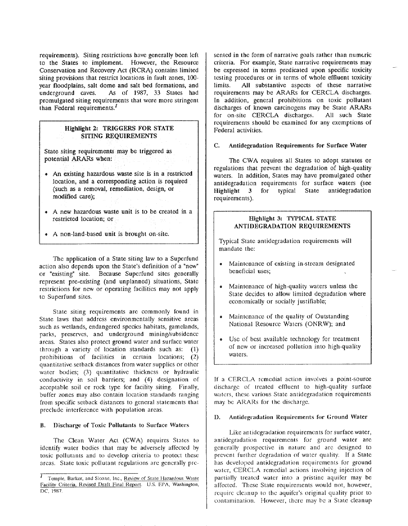requirements). Siting restrictions have generally been left to the States to implement. However, the Resource Conservation and Recovery Act (RCRA) contains limited siting provisions that restrict locations in fault zones, 100year floodplains, salt dome and salt bed formations, and underground caves. As of 1987, 33 States had promulgated siting requirements that were more stringent than Federal requirements. $<sup>I</sup>$ </sup>

# Highlight 2: TRIGGERS FOR STATE SITING REQUIREMENTS

State siting requirements may be triggered as potential ARARs when:

- An existing hazardous waste site is in a restricted location, and a corresponding action is required (such as a removal, remediation, design, or modified care);
- A new hazardous waste unit is to be created in a restricted location; or
- A non-land-based unit is brought on-site.

The application of a State siting law to a Superfund action also depends upon the State's definition of a "new" or "existing" site. Because Superfund sites generally represent pre-existing (and unplanned) situations, State restrictions for new or operating facilities may not apply to Superfund sites.

State siting requirements are commonly found in State laws that address environmentally sensitive areas such as wetlands, endangered species habitats, gamelands, parks, preserves, and underground mining/subsidence areas. States also protect ground water and surface water through a variety of location standards such as:  $(1)$ prohibitions of facilities in certain locations; (2) quantitative set back distances from water supplies or other water bodies; (3) quantitative thickness or hydraulic conductivity in soil barriers; and (4) designation of acceptable soil or rock type for facility siting. Finally, buffer zones may also contain location standards ranging from specific setback distances to general statements that preclude interference with population areas.

#### Discharge of Toxic Pollutants to Surface Waters В.

The Clean Water Act (CWA) requires States to identify water bodies that may be adversely affected by toxic pollutants and to develop criteria to protect these areas. State toxic pollutant regulations are generally presented in the form of narrative goals rather than numeric criteria. For example, State narrative requirements may be expressed in terms predicated upon specific toxicity testing procedures or in terms of whole effluent toxicity All substantive aspects of these narrative limits. requirements may be ARARs for CERCLA discharges. In addition, general prohibitions on toxic pollutant discharges of known carcinogens may be State ARARs for on-site CERCLA discharges. All such State requirements should be examined for any exemptions of Federal activities.

#### Antidegradation Requirements for Surface Water  $\mathbf{C}$ .

The CWA requires all States to adopt statutes or regulations that prevent the degradation of high-quality waters. In addition, States may have promulgated other antidegradation requirements for surface waters (see typical State antidegradation Highlight  $3<sup>7</sup>$ for requirements).

# Highlight 3: TYPICAL STATE **ANTIDEGRADATION REQUIREMENTS**

Typical State antidegradation requirements will mandate the:

- Maintenance of existing in-stream designated  $\bullet$ beneficial uses;
- Maintenance of high-quality waters unless the State decides to allow limited degradation where economically or socially justifiable;
- Maintenance of the quality of Outstanding National Resource Waters (ONRW); and
- Use of best available technology for treatment of new or increased pollution into high-quality waters.

If a CERCLA remedial action involves a point-source discharge of treated effluent to high-quality surface waters, these various State antidegradation requirements may be ARARs for the discharge.

#### $\mathbf{D}$ . Antidegradation Requirements for Ground Water

Like antidegradation requirements for surface water, antidegradation requirements for ground water are generally prospective in nature and are designed to prevent further degradation of water quality. If a State has developed antidegradation requirements for ground water, CERCLA remedial actions involving injection of partially treated water into a pristine aquifer may be affected. These State requirements would not, however, require cleanup to the aquifer's original quality prior to contamination. However, there may be a State cleanup

<sup>&</sup>lt;sup>1</sup> Temple, Barker, and Sloane, Inc., Review of State Hazardous Waste Facility Criteria, Revised Draft Final Report. U.S. EPA, Washington, DC, 1987.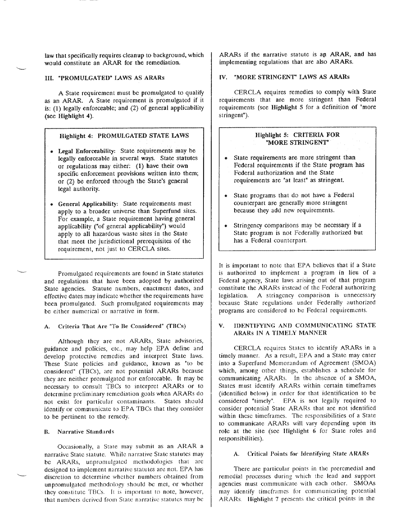law that specifically requires cleanup to background, which would constitute an ARAR for the remediation.

# **III. "PROMULGATED" LAWS AS ARARS**

A State requirement must be promulgated to qualify as an ARAR. A State requirement is promulgated if it is:  $(1)$  legally enforceable; and  $(2)$  of general applicability  $(see$  Highlight 4).

### Highlight 4: PROMULGATED STATE LAWS

- Legal Enforceability: State requirements may be legally enforceable in several ways. State statutes or regulations may either: (1) have their own specific enforcement provisions written into them; or (2) be enforced through the State's general legal authority.
- General Applicability: State requirements must apply to a broader universe than Superfund sites. For example, a State requirement having general applicability ("of general applicability") would apply to all hazardous waste sites in the State that meet the jurisdictional prerequisites of the requirement, not just to CERCLA sites.

Promulgated requirements are found in State statutes and regulations that have been adopted by authorized State agencies. Statute numbers, enactment dates, and effective dates may indicate whether the requirements have been promulgated. Such promulgated requirements may be either numerical or narrative in form.

### A. Criteria That Are "To Be Considered" (TBCs)

Although they are not ARARs, State advisories, guidance and policies, etc., may help EPA define and develop protective remedies and interpret State laws. These State policies and guidance, known as "to be considered" (TBCs), are not potential ARARs because they are neither promulgated nor enforceable. It may be necessary to consult TBCs to interpret ARARs or to determine preliminary remediation goals when ARARs do not exist for particular contaminants. States should identify or communicate to EPA TBCs that they consider to be pertinent to the remedy.

### **B.** Narrative Standards

Occasionally, a State may submit as an ARAR a narrative State statute. While narrative State statutes may be ARARs, unpromulgated methodologies that are designed to implement narrative statutes are not. EPA has discretion to determine whether numbers obtained from unpromulgated methodology should be met, or whether they constitute TBCs. It is important to note, however, that numbers derived from State narrative statutes may be

ARARs if the narrative statute is an ARAR, and has implementing regulations that are also ARARs.

## IV. "MORE STRINGENT" LAWS AS ARARS

CERCLA requires remedies to comply with State requirements that are more stringent than Federal requirements (see Highlight 5 for a definition of "more stringent").

# Highlight 5: CRITERIA FOR "MORE STRINGENT"

- State requirements are more stringent than Federal requirements if the State program has Federal authorization and the State requirements are "at least" as stringent.
- State programs that do not have a Federal counterpart are generally more stringent because they add new requirements.
- Stringency comparisons may be necessary if a State program is not Federally authorized but has a Federal counterpart.

It is important to note that EPA believes that if a State is authorized to implement a program in lieu of a Federal agency, State laws arising out of that program constitute the ARARs instead of the Federal authorizing A stringency comparison is unnecessary legislation. because State regulations under Federally authorized programs are considered to be Federal requirements.

#### IDENTIFYING AND COMMUNICATING STATE  $\mathbf{V}$ ARARS IN A TIMELY MANNER

CERCLA requires States to identify ARARs in a timely manner. As a result, EPA and a State may enter into a Superfund Memorandum of Agreement (SMOA) which, among other things, establishes a schedule for communicating ARARs. In the absence of a SMOA, States must identify ARARs within certain timeframes (identified below) in order for that identification to be considered "timely". EPA is not legally required to consider potential State ARARs that are not identified within these timeframes. The responsibilities of a State to communicate ARARs will vary depending upon its role at the site (see Highlight 6 for State roles and responsibilities).

## A. Critical Points for Identifying State ARARs

There are particular points in the preremedial and remedial processes during which the lead and support agencies must communicate with each other. SMOAs may identify timeframes for communicating potential ARARs. Highlight 7 presents the critical points in the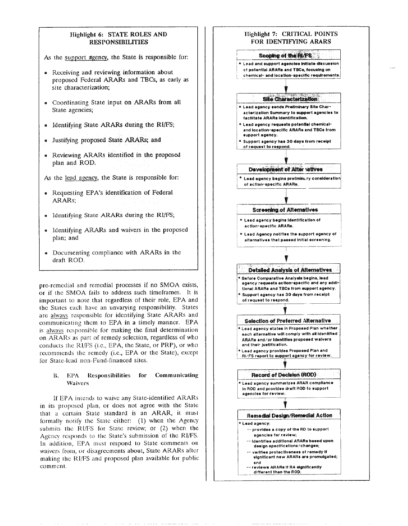

on ARARs as part of remedy selection, regardless of who conducts the RI/FS (i.e., EPA, the State, or PRP), or who recommends the remedy (i.e., EPA or the State), except for State-lead non-Fund-financed sites.

#### **B.** EPA Responsibilities for Communicating Waivers

If EPA intends to waive any State-identified ARARs in its proposed plan, or does not agree with the State that a certain State standard is an ARAR, it must formally notify the State either: (1) when the Agency submits the RI/FS for State review; or (2) when the Agency responds to the State's submission of the RI/FS. In addition, EPA must respond to State comments on waivers from, or disagreements about, State ARARs after making the RI/FS and proposed plan available for public comment.

each alternative will comply with all identified ARARs and/or Identifies proposed walvers and their justification. **Lead agency provides Proposed Plan and** RI/FS report to support agency for review **Record of Decision (ROD)** ● Lead agency summarize∎ ARAR compliance In ROD and provides draft ROD to support agencies for review. Remedial Deskin/Remedial Action \* Lead agency: -- provides a copy of the RD to support

- agencies for review; -- Identifies additional ARARs based upon
- design specifications/changes; verifies protectiveness of remedy if significant new ARARs are promulgated;

and -- reviews ARARs if RA significantly different than the ROD.